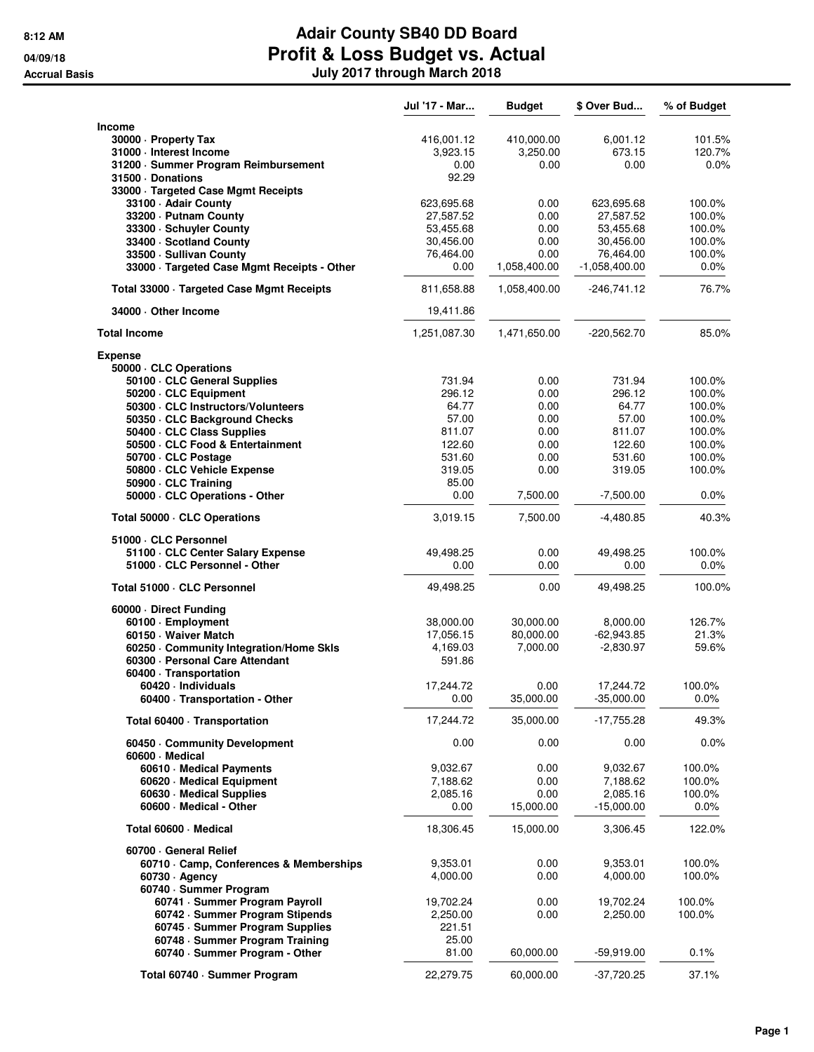|                                                  | Jul '17 - Mar | <b>Budget</b> | \$ Over Bud     | % of Budget |
|--------------------------------------------------|---------------|---------------|-----------------|-------------|
| <b>Income</b>                                    |               |               |                 |             |
| 30000 - Property Tax                             | 416,001.12    | 410,000.00    | 6,001.12        | 101.5%      |
| 31000 - Interest Income                          | 3,923.15      | 3,250.00      | 673.15          | 120.7%      |
| 31200 · Summer Program Reimbursement             | 0.00          | 0.00          | 0.00            | $0.0\%$     |
| 31500 Donations                                  | 92.29         |               |                 |             |
| 33000 · Targeted Case Mgmt Receipts              |               |               |                 |             |
| 33100 · Adair County                             | 623,695.68    | 0.00          | 623,695.68      | 100.0%      |
| 33200 · Putnam County                            | 27,587.52     | 0.00          | 27,587.52       | 100.0%      |
| 33300 · Schuyler County                          | 53,455.68     | 0.00          | 53,455.68       | 100.0%      |
| 33400 · Scotland County                          | 30,456.00     | 0.00          | 30,456.00       | 100.0%      |
| 33500 · Sullivan County                          | 76,464.00     | 0.00          | 76,464.00       | 100.0%      |
| 33000 · Targeted Case Mgmt Receipts - Other      | 0.00          | 1,058,400.00  | $-1,058,400.00$ | 0.0%        |
| Total 33000 · Targeted Case Mgmt Receipts        | 811.658.88    | 1,058,400.00  | $-246,741.12$   | 76.7%       |
| 34000 · Other Income                             | 19,411.86     |               |                 |             |
| <b>Total Income</b>                              | 1,251,087.30  | 1,471,650.00  | $-220,562.70$   | 85.0%       |
| <b>Expense</b>                                   |               |               |                 |             |
| 50000 · CLC Operations                           |               |               |                 |             |
| 50100 · CLC General Supplies                     | 731.94        | 0.00          | 731.94          | 100.0%      |
| 50200 · CLC Equipment                            | 296.12        | 0.00          | 296.12          | 100.0%      |
| 50300 · CLC Instructors/Volunteers               | 64.77         | 0.00          | 64.77           | 100.0%      |
| 50350 · CLC Background Checks                    | 57.00         | 0.00          | 57.00           | 100.0%      |
| 50400 · CLC Class Supplies                       | 811.07        | 0.00          | 811.07          | 100.0%      |
| 50500 · CLC Food & Entertainment                 | 122.60        | 0.00          | 122.60          | 100.0%      |
| 50700 · CLC Postage                              | 531.60        | 0.00          | 531.60          | 100.0%      |
| 50800 · CLC Vehicle Expense                      | 319.05        | 0.00          | 319.05          | 100.0%      |
| 50900 · CLC Training                             | 85.00<br>0.00 | 7,500.00      | $-7,500.00$     | 0.0%        |
| 50000 · CLC Operations - Other                   |               |               |                 |             |
| Total 50000 · CLC Operations                     | 3,019.15      | 7,500.00      | $-4,480.85$     | 40.3%       |
| 51000 CLC Personnel                              |               |               |                 |             |
| 51100 · CLC Center Salary Expense                | 49,498.25     | 0.00          | 49,498.25       | 100.0%      |
| 51000 · CLC Personnel - Other                    | 0.00          | 0.00          | 0.00            | 0.0%        |
| Total 51000 · CLC Personnel                      | 49,498.25     | 0.00          | 49,498.25       | 100.0%      |
| 60000 Direct Funding                             |               |               |                 |             |
| 60100 · Employment                               | 38,000.00     | 30,000.00     | 8,000.00        | 126.7%      |
| 60150 · Waiver Match                             | 17,056.15     | 80,000.00     | $-62,943.85$    | 21.3%       |
| 60250 · Community Integration/Home Skls          | 4,169.03      | 7,000.00      | $-2,830.97$     | 59.6%       |
| 60300 · Personal Care Attendant                  | 591.86        |               |                 |             |
| 60400 · Transportation                           |               |               |                 |             |
| 60420 · Individuals                              | 17,244.72     | 0.00          | 17,244.72       | 100.0%      |
| 60400 · Transportation - Other                   | 0.00          | 35,000.00     | $-35,000.00$    | $0.0\%$     |
| Total 60400 · Transportation                     | 17,244.72     | 35,000.00     | $-17,755.28$    | 49.3%       |
| 60450 · Community Development<br>60600 · Medical | 0.00          | 0.00          | 0.00            | 0.0%        |
| 60610 Medical Payments                           | 9,032.67      | 0.00          | 9,032.67        | 100.0%      |
| 60620 · Medical Equipment                        | 7,188.62      | 0.00          | 7,188.62        | 100.0%      |
| 60630 · Medical Supplies                         | 2,085.16      | 0.00          | 2,085.16        | 100.0%      |
| 60600 - Medical - Other                          | 0.00          | 15,000.00     | $-15,000.00$    | $0.0\%$     |
| Total 60600 · Medical                            | 18,306.45     | 15,000.00     | 3,306.45        | 122.0%      |
| 60700 General Relief                             |               |               |                 |             |
| 60710 Camp, Conferences & Memberships            | 9,353.01      | 0.00          | 9,353.01        | 100.0%      |
| $60730 \cdot$ Agency                             | 4,000.00      | 0.00          | 4,000.00        | 100.0%      |
| 60740 · Summer Program                           |               |               |                 |             |
| 60741 · Summer Program Payroll                   | 19,702.24     | 0.00          | 19,702.24       | 100.0%      |
| 60742 · Summer Program Stipends                  | 2,250.00      | 0.00          | 2,250.00        | 100.0%      |
| 60745 · Summer Program Supplies                  | 221.51        |               |                 |             |
| 60748 - Summer Program Training                  | 25.00         |               |                 |             |
| 60740 · Summer Program - Other                   | 81.00         | 60,000.00     | $-59,919.00$    | 0.1%        |
|                                                  |               |               |                 |             |
| Total 60740 · Summer Program                     | 22,279.75     | 60,000.00     | -37,720.25      | 37.1%       |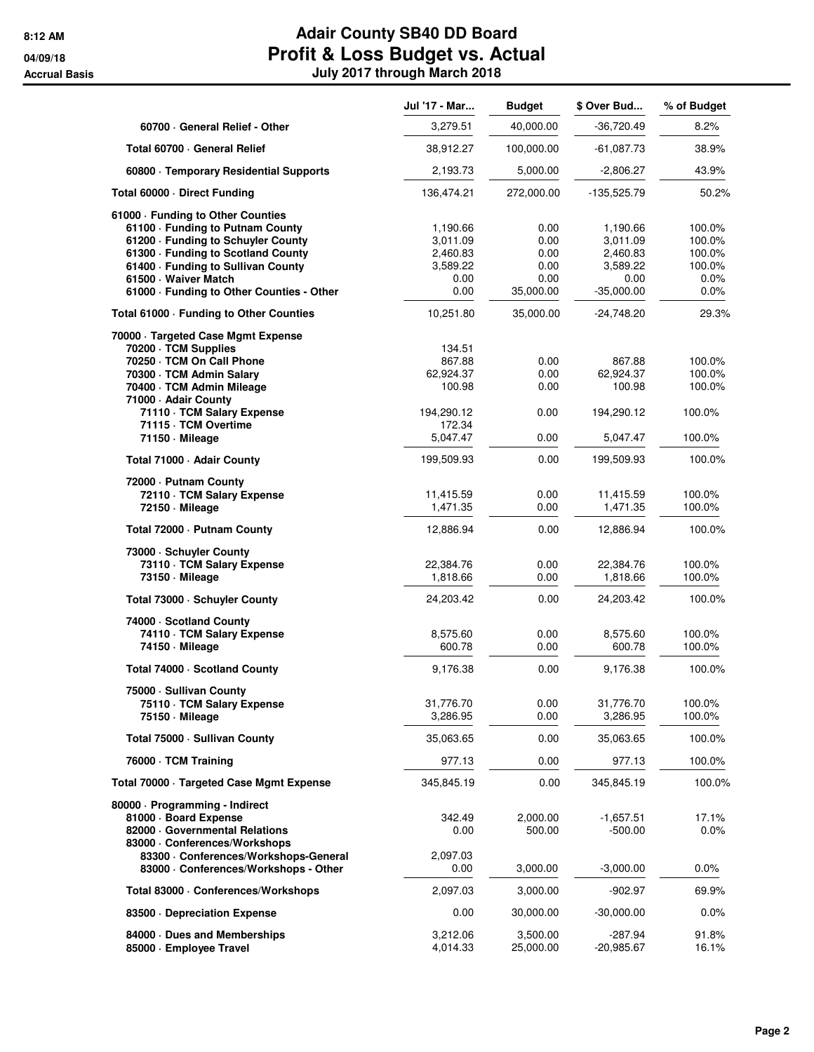|                                                    | Jul '17 - Mar | <b>Budget</b> | \$ Over Bud   | % of Budget |
|----------------------------------------------------|---------------|---------------|---------------|-------------|
| 60700 General Relief - Other                       | 3,279.51      | 40,000.00     | -36,720.49    | 8.2%        |
| Total 60700 · General Relief                       | 38,912.27     | 100,000.00    | $-61,087.73$  | 38.9%       |
| 60800 · Temporary Residential Supports             | 2,193.73      | 5,000.00      | $-2,806.27$   | 43.9%       |
| Total 60000 Direct Funding                         | 136,474.21    | 272,000.00    | $-135,525.79$ | 50.2%       |
| 61000 - Funding to Other Counties                  |               |               |               |             |
| 61100 · Funding to Putnam County                   | 1,190.66      | 0.00          | 1,190.66      | 100.0%      |
| 61200 - Funding to Schuyler County                 | 3,011.09      | 0.00          | 3,011.09      | 100.0%      |
| 61300 · Funding to Scotland County                 | 2.460.83      | 0.00          | 2,460.83      | 100.0%      |
| 61400 · Funding to Sullivan County                 | 3,589.22      | 0.00          | 3,589.22      | 100.0%      |
| 61500 · Waiver Match                               | 0.00          | 0.00          | 0.00          | $0.0\%$     |
| 61000 · Funding to Other Counties - Other          | 0.00          | 35,000.00     | $-35,000.00$  | 0.0%        |
| Total 61000 - Funding to Other Counties            | 10,251.80     | 35,000.00     | -24,748.20    | 29.3%       |
| 70000 · Targeted Case Mgmt Expense                 |               |               |               |             |
| 70200 · TCM Supplies                               | 134.51        |               |               |             |
| 70250 · TCM On Call Phone                          | 867.88        | 0.00          | 867.88        | 100.0%      |
| 70300 · TCM Admin Salary                           | 62,924.37     | 0.00          | 62,924.37     | 100.0%      |
| 70400 · TCM Admin Mileage                          | 100.98        | 0.00          | 100.98        | 100.0%      |
| 71000 - Adair County<br>71110 · TCM Salary Expense | 194,290.12    | 0.00          | 194,290.12    | 100.0%      |
| 71115 - TCM Overtime                               | 172.34        |               |               |             |
| 71150 - Mileage                                    | 5,047.47      | 0.00          | 5,047.47      | 100.0%      |
| Total 71000 · Adair County                         | 199,509.93    | 0.00          | 199,509.93    | 100.0%      |
| 72000 - Putnam County                              |               |               |               |             |
| 72110 · TCM Salary Expense                         | 11,415.59     | 0.00          | 11,415.59     | 100.0%      |
| 72150 - Mileage                                    | 1,471.35      | 0.00          | 1,471.35      | 100.0%      |
| Total 72000 - Putnam County                        | 12,886.94     | 0.00          | 12,886.94     | 100.0%      |
|                                                    |               |               |               |             |
| 73000 · Schuyler County                            |               |               |               |             |
| 73110 · TCM Salary Expense                         | 22,384.76     | 0.00          | 22,384.76     | 100.0%      |
| 73150 - Mileage                                    | 1,818.66      | 0.00          | 1,818.66      | 100.0%      |
| Total 73000 · Schuyler County                      | 24,203.42     | 0.00          | 24,203.42     | 100.0%      |
| 74000 · Scotland County                            |               |               |               |             |
| 74110 · TCM Salary Expense                         | 8,575.60      | 0.00          | 8,575.60      | 100.0%      |
| 74150 - Mileage                                    | 600.78        | 0.00          | 600.78        | 100.0%      |
| Total 74000 · Scotland County                      | 9,176.38      | 0.00          | 9,176.38      | 100.0%      |
| 75000 · Sullivan County                            |               |               |               |             |
| 75110 · TCM Salary Expense                         | 31,776.70     | 0.00          | 31,776.70     | 100.0%      |
| 75150 Mileage                                      | 3,286.95      | 0.00          | 3,286.95      | 100.0%      |
| Total 75000 - Sullivan County                      | 35,063.65     | 0.00          | 35,063.65     | 100.0%      |
| 76000 · TCM Training                               | 977.13        | 0.00          | 977.13        | 100.0%      |
| Total 70000 · Targeted Case Mgmt Expense           | 345,845.19    | 0.00          | 345,845.19    | 100.0%      |
| 80000 · Programming - Indirect                     |               |               |               |             |
| 81000 · Board Expense                              | 342.49        | 2,000.00      | $-1,657.51$   | 17.1%       |
| 82000 Governmental Relations                       | 0.00          | 500.00        | -500.00       | $0.0\%$     |
| 83000 · Conferences/Workshops                      |               |               |               |             |
| 83300 · Conferences/Workshops-General              | 2,097.03      |               |               |             |
| 83000 · Conferences/Workshops - Other              | 0.00          | 3,000.00      | $-3,000.00$   | 0.0%        |
| Total 83000 · Conferences/Workshops                | 2,097.03      | 3,000.00      | -902.97       | 69.9%       |
|                                                    |               |               |               |             |
| 83500 Depreciation Expense                         | 0.00          | 30,000.00     | $-30,000.00$  | 0.0%        |
| 84000 Dues and Memberships                         | 3,212.06      | 3,500.00      | -287.94       | 91.8%       |
| 85000 · Employee Travel                            | 4,014.33      | 25,000.00     | $-20,985.67$  | 16.1%       |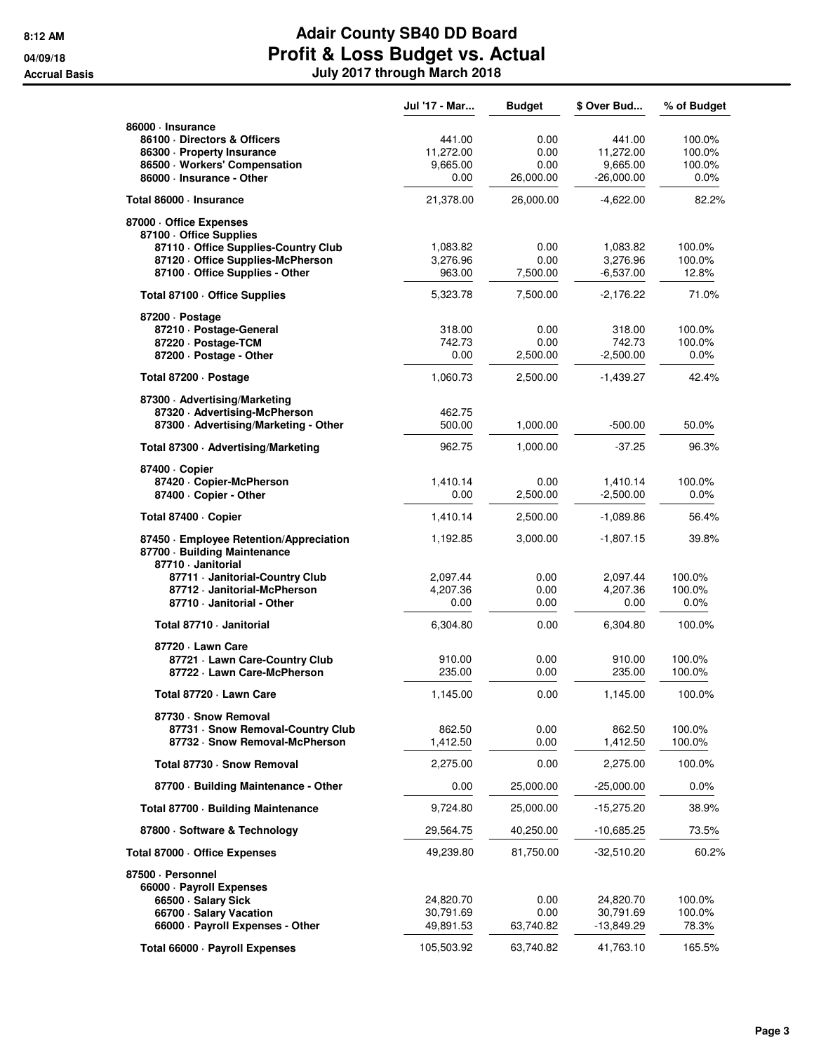|                                                                      | Jul '17 - Mar    | <b>Budget</b>    | \$ Over Bud             | % of Budget      |
|----------------------------------------------------------------------|------------------|------------------|-------------------------|------------------|
| 86000 · Insurance                                                    |                  |                  |                         |                  |
| 86100 Directors & Officers                                           | 441.00           | 0.00             | 441.00                  | 100.0%           |
| 86300 · Property Insurance                                           | 11,272.00        | 0.00             | 11,272.00               | 100.0%           |
| 86500 · Workers' Compensation                                        | 9,665.00         | 0.00             | 9,665.00                | 100.0%           |
| 86000 · Insurance - Other                                            | 0.00             | 26,000.00        | $-26,000.00$            | $0.0\%$          |
| Total 86000 · Insurance                                              | 21,378.00        | 26,000.00        | -4,622.00               | 82.2%            |
| 87000 Office Expenses<br>87100 Office Supplies                       |                  |                  |                         |                  |
| 87110 Office Supplies-Country Club                                   | 1,083.82         | 0.00             | 1,083.82                | 100.0%           |
| 87120 Office Supplies-McPherson                                      | 3,276.96         | 0.00             | 3,276.96                | 100.0%           |
| 87100 - Office Supplies - Other                                      | 963.00           | 7,500.00         | -6,537.00               | 12.8%            |
| Total 87100 · Office Supplies                                        | 5,323.78         | 7,500.00         | $-2,176.22$             | 71.0%            |
| 87200 Dostage                                                        |                  |                  |                         |                  |
| 87210 · Postage-General<br>87220 · Postage-TCM                       | 318.00<br>742.73 | 0.00<br>0.00     | 318.00<br>742.73        | 100.0%<br>100.0% |
| 87200 - Postage - Other                                              | 0.00             | 2,500.00         | $-2,500.00$             | 0.0%             |
|                                                                      |                  |                  |                         |                  |
| Total 87200 - Postage                                                | 1,060.73         | 2,500.00         | -1,439.27               | 42.4%            |
| 87300 - Advertising/Marketing                                        | 462.75           |                  |                         |                  |
| 87320 Advertising-McPherson<br>87300 - Advertising/Marketing - Other | 500.00           | 1,000.00         | $-500.00$               | 50.0%            |
|                                                                      |                  |                  |                         |                  |
| Total 87300 · Advertising/Marketing                                  | 962.75           | 1,000.00         | $-37.25$                | 96.3%            |
| 87400 · Copier                                                       |                  |                  |                         |                  |
| 87420 · Copier-McPherson<br>87400 - Copier - Other                   | 1,410.14<br>0.00 | 0.00<br>2,500.00 | 1,410.14<br>$-2,500.00$ | 100.0%<br>0.0%   |
|                                                                      |                  |                  |                         |                  |
| Total 87400 · Copier                                                 | 1,410.14         | 2,500.00         | -1,089.86               | 56.4%            |
| 87450 · Employee Retention/Appreciation                              | 1,192.85         | 3,000.00         | -1,807.15               | 39.8%            |
| 87700 · Building Maintenance<br>87710 Janitorial                     |                  |                  |                         |                  |
| 87711 - Janitorial-Country Club                                      | 2,097.44         | 0.00             | 2,097.44                | 100.0%           |
| 87712 Janitorial-McPherson                                           | 4,207.36         | 0.00             | 4,207.36                | 100.0%           |
| 87710 - Janitorial - Other                                           | 0.00             | 0.00             | 0.00                    | $0.0\%$          |
| Total 87710 - Janitorial                                             | 6,304.80         | 0.00             | 6,304.80                | 100.0%           |
| 87720 - Lawn Care                                                    |                  |                  |                         |                  |
| 87721 - Lawn Care-Country Club                                       | 910.00           | 0.00             | 910.00                  | 100.0%           |
| 87722 · Lawn Care-McPherson                                          | 235.00           | 0.00             | 235.00                  | 100.0%           |
| Total 87720 - Lawn Care                                              | 1,145.00         | 0.00             | 1,145.00                | 100.0%           |
| 87730 · Snow Removal                                                 |                  |                  |                         |                  |
| 87731 - Snow Removal-Country Club                                    | 862.50           | 0.00             | 862.50                  | 100.0%           |
| 87732 · Snow Removal-McPherson                                       | 1,412.50         | 0.00             | 1,412.50                | 100.0%           |
| Total 87730 · Snow Removal                                           | 2,275.00         | 0.00             | 2,275.00                | 100.0%           |
| 87700 · Building Maintenance - Other                                 | 0.00             | 25,000.00        | $-25,000.00$            | $0.0\%$          |
| Total 87700 · Building Maintenance                                   | 9,724.80         | 25,000.00        | $-15,275.20$            | 38.9%            |
| 87800 · Software & Technology                                        | 29,564.75        | 40,250.00        | $-10,685.25$            | 73.5%            |
| Total 87000 · Office Expenses                                        | 49,239.80        | 81,750.00        | -32,510.20              | 60.2%            |
| 87500 · Personnel                                                    |                  |                  |                         |                  |
| 66000 · Payroll Expenses                                             |                  |                  |                         |                  |
| 66500 · Salary Sick                                                  | 24,820.70        | 0.00             | 24,820.70               | 100.0%           |
| 66700 · Salary Vacation                                              | 30,791.69        | 0.00             | 30,791.69               | 100.0%           |
| 66000 · Payroll Expenses - Other                                     | 49,891.53        | 63,740.82        | -13,849.29              | 78.3%            |
| Total 66000 · Payroll Expenses                                       | 105,503.92       | 63,740.82        | 41,763.10               | 165.5%           |